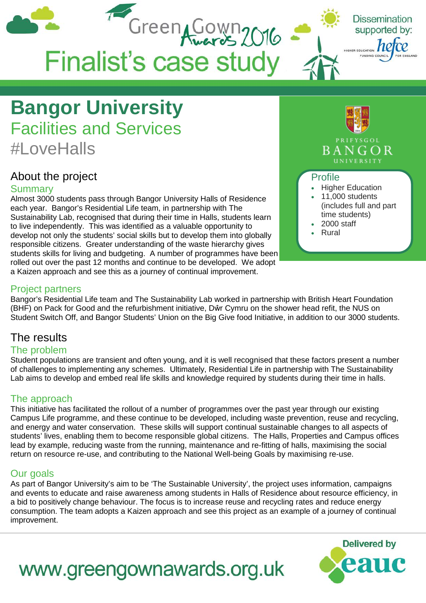

## **Bangor University** Facilities and Services #LoveHalls

### About the project

### **Summary**

Almost 3000 students pass through Bangor University Halls of Residence each year. Bangor's Residential Life team, in partnership with The Sustainability Lab, recognised that during their time in Halls, students learn to live independently. This was identified as a valuable opportunity to develop not only the students' social skills but to develop them into globally responsible citizens. Greater understanding of the waste hierarchy gives students skills for living and budgeting. A number of programmes have been rolled out over the past 12 months and continue to be developed. We adopt a Kaizen approach and see this as a journey of continual improvement.



- time students)
- 2000 staff
- Rural

### Project partners

Bangor's Residential Life team and The Sustainability Lab worked in partnership with British Heart Foundation (BHF) on Pack for Good and the refurbishment initiative, Dŵr Cymru on the shower head refit, the NUS on Student Switch Off, and Bangor Students' Union on the Big Give food Initiative, in addition to our 3000 students.

### The results

### The problem

Student populations are transient and often young, and it is well recognised that these factors present a number of challenges to implementing any schemes. Ultimately, Residential Life in partnership with The Sustainability Lab aims to develop and embed real life skills and knowledge required by students during their time in halls.

### The approach

This initiative has facilitated the rollout of a number of programmes over the past year through our existing Campus Life programme, and these continue to be developed, including waste prevention, reuse and recycling, and energy and water conservation. These skills will support continual sustainable changes to all aspects of students' lives, enabling them to become responsible global citizens. The Halls, Properties and Campus offices lead by example, reducing waste from the running, maintenance and re-fitting of halls, maximising the social return on resource re-use, and contributing to the National Well-being Goals by maximising re-use.

### Our goals

As part of Bangor University's aim to be 'The Sustainable University', the project uses information, campaigns and events to educate and raise awareness among students in Halls of Residence about resource efficiency, in a bid to positively change behaviour. The focus is to increase reuse and recycling rates and reduce energy consumption. The team adopts a Kaizen approach and see this project as an example of a journey of continual improvement.



# www.greengownawards.org.uk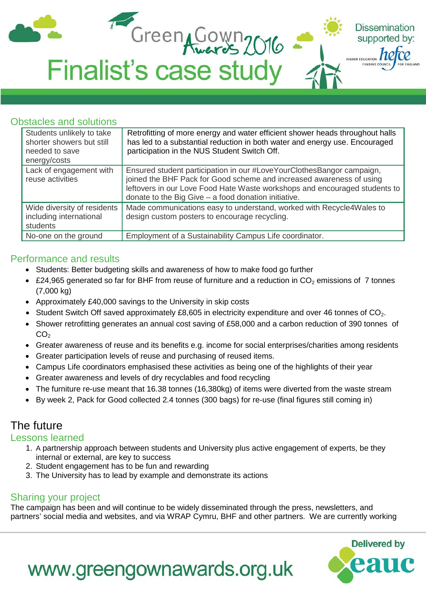

### Obstacles and solutions

| Students unlikely to take<br>shorter showers but still<br>needed to save<br>energy/costs | Retrofitting of more energy and water efficient shower heads throughout halls<br>has led to a substantial reduction in both water and energy use. Encouraged<br>participation in the NUS Student Switch Off.                                                                        |
|------------------------------------------------------------------------------------------|-------------------------------------------------------------------------------------------------------------------------------------------------------------------------------------------------------------------------------------------------------------------------------------|
| Lack of engagement with<br>reuse activities                                              | Ensured student participation in our #LoveYourClothesBangor campaign,<br>joined the BHF Pack for Good scheme and increased awareness of using<br>leftovers in our Love Food Hate Waste workshops and encouraged students to<br>donate to the Big Give - a food donation initiative. |
| Wide diversity of residents<br>including international<br>students                       | Made communications easy to understand, worked with Recycle4Wales to<br>design custom posters to encourage recycling.                                                                                                                                                               |
| No-one on the ground                                                                     | Employment of a Sustainability Campus Life coordinator.                                                                                                                                                                                                                             |

### Performance and results

- Students: Better budgeting skills and awareness of how to make food go further
- £24,965 generated so far for BHF from reuse of furniture and a reduction in  $CO<sub>2</sub>$  emissions of 7 tonnes (7,000 kg)
- Approximately £40,000 savings to the University in skip costs
- Student Switch Off saved approximately  $£8,605$  in electricity expenditure and over 46 tonnes of  $CO<sub>2</sub>$ .
- Shower retrofitting generates an annual cost saving of £58,000 and a carbon reduction of 390 tonnes of  $CO<sub>2</sub>$
- Greater awareness of reuse and its benefits e.g. income for social enterprises/charities among residents
- Greater participation levels of reuse and purchasing of reused items.
- Campus Life coordinators emphasised these activities as being one of the highlights of their year
- Greater awareness and levels of dry recyclables and food recycling
- The furniture re-use meant that 16.38 tonnes (16,380kg) of items were diverted from the waste stream
- By week 2, Pack for Good collected 2.4 tonnes (300 bags) for re-use (final figures still coming in)

### The future

#### Lessons learned

- 1. A partnership approach between students and University plus active engagement of experts, be they internal or external, are key to success
- 2. Student engagement has to be fun and rewarding
- 3. The University has to lead by example and demonstrate its actions

www.greengownawards.org.uk

### Sharing your project

The campaign has been and will continue to be widely disseminated through the press, newsletters, and partners' social media and websites, and via WRAP Cymru, BHF and other partners. We are currently working